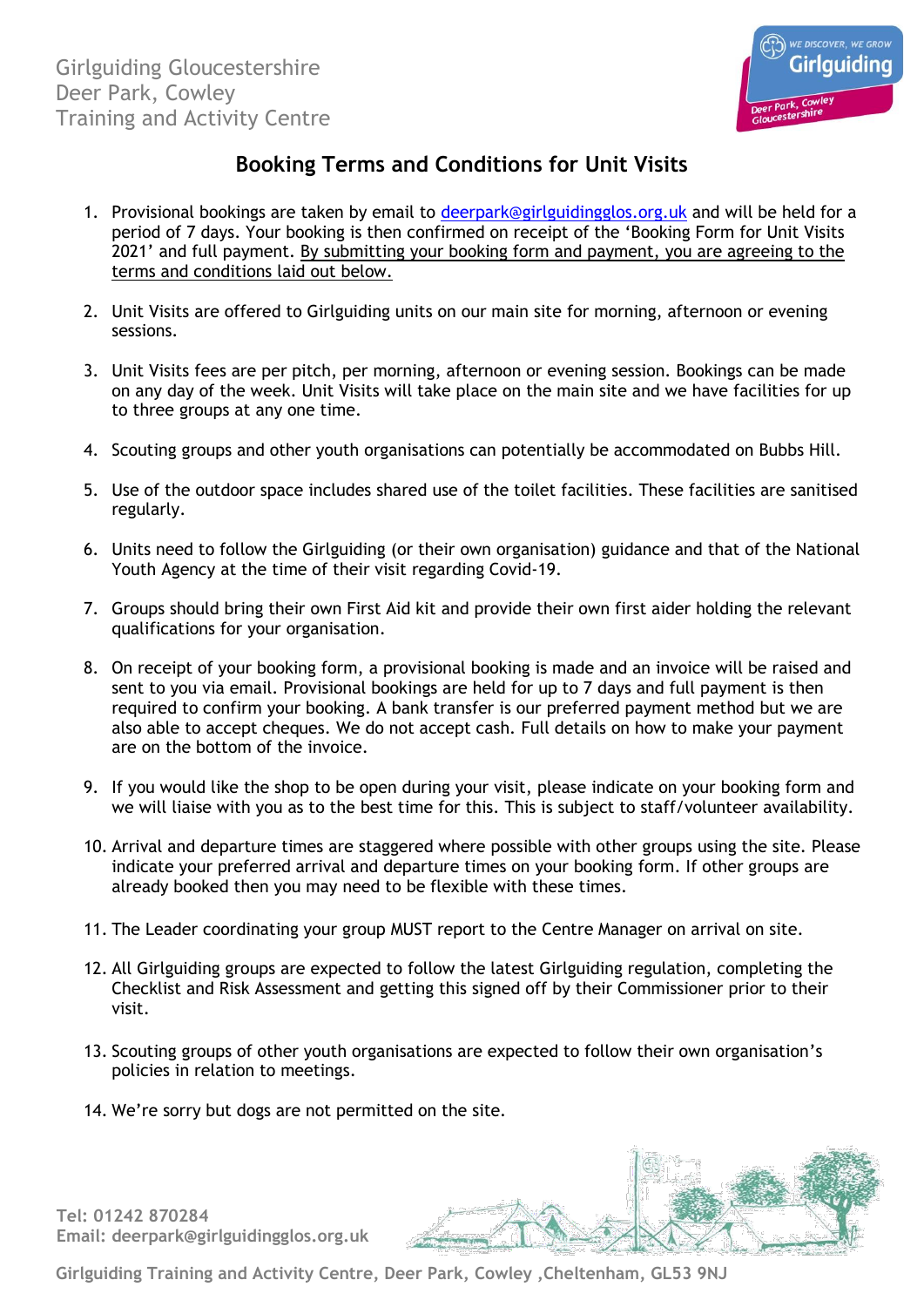

## **Booking Terms and Conditions for Unit Visits**

- 1. Provisional bookings are taken by email to [deerpark@girlguidingglos.org.uk](mailto:deerpark@girlguidingglos.org.uk) and will be held for a period of 7 days. Your booking is then confirmed on receipt of the 'Booking Form for Unit Visits 2021' and full payment. By submitting your booking form and payment, you are agreeing to the terms and conditions laid out below.
- 2. Unit Visits are offered to Girlguiding units on our main site for morning, afternoon or evening sessions.
- 3. Unit Visits fees are per pitch, per morning, afternoon or evening session. Bookings can be made on any day of the week. Unit Visits will take place on the main site and we have facilities for up to three groups at any one time.
- 4. Scouting groups and other youth organisations can potentially be accommodated on Bubbs Hill.
- 5. Use of the outdoor space includes shared use of the toilet facilities. These facilities are sanitised regularly.
- 6. Units need to follow the Girlguiding (or their own organisation) guidance and that of the National Youth Agency at the time of their visit regarding Covid-19.
- 7. Groups should bring their own First Aid kit and provide their own first aider holding the relevant qualifications for your organisation.
- 8. On receipt of your booking form, a provisional booking is made and an invoice will be raised and sent to you via email. Provisional bookings are held for up to 7 days and full payment is then required to confirm your booking. A bank transfer is our preferred payment method but we are also able to accept cheques. We do not accept cash. Full details on how to make your payment are on the bottom of the invoice.
- 9. If you would like the shop to be open during your visit, please indicate on your booking form and we will liaise with you as to the best time for this. This is subject to staff/volunteer availability.
- 10. Arrival and departure times are staggered where possible with other groups using the site. Please indicate your preferred arrival and departure times on your booking form. If other groups are already booked then you may need to be flexible with these times.
- 11. The Leader coordinating your group MUST report to the Centre Manager on arrival on site.
- 12. All Girlguiding groups are expected to follow the latest Girlguiding regulation, completing the Checklist and Risk Assessment and getting this signed off by their Commissioner prior to their visit.
- 13. Scouting groups of other youth organisations are expected to follow their own organisation's policies in relation to meetings.
- 14. We're sorry but dogs are not permitted on the site.

**Tel: 01242 870284 Email: deerpark@girlguidingglos.org.uk**



**Girlguiding Training and Activity Centre, Deer Park, Cowley ,Cheltenham, GL53 9NJ**